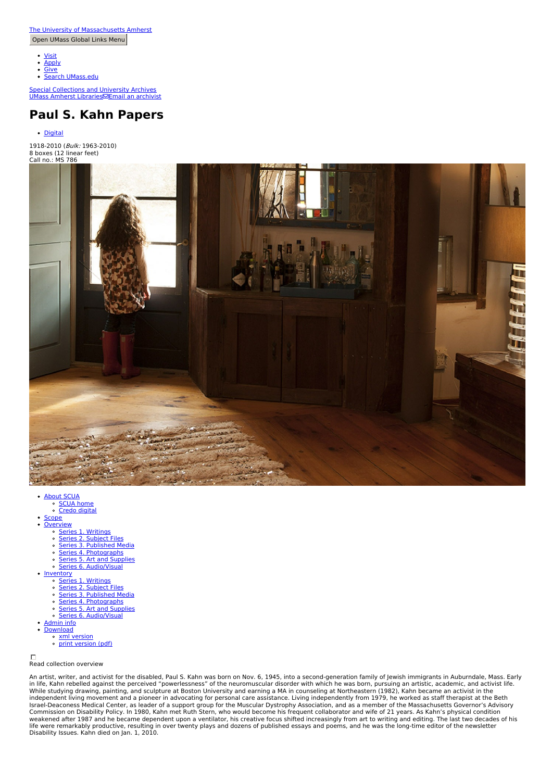- [Visit](https://www.umass.edu/admissions/visits/visit-campus)
- **[Apply](https://www.umass.edu/admissions)**
- $\bullet$ **[Give](https://securelb.imodules.com/s/1640/rd17/form/form.aspx?sid=1640&gid=2&pgid=443&cid=1121)**

Search [UMass.edu](https://www.umass.edu/search)  $\bullet$ 

Special [Collections](http://scua.library.umass.edu) and University Archives UMass [Amherst](http://library.umass.edu) Libraries⊠Email an [archivist](http://scua.library.umass.edu/umarmot/services-at-scua/askanarc/)

# **Paul S. Kahn Papers**

• [Digital](http://credo.library.umass.edu/view/collection/mums786)

1918-2010 (Bulk: 1963-2010) 8 boxes (12 linear feet) Call no.: MS 786



- - [About](http://scua.library.umass.edu/) SCUA [SCUA](http://scua.library.umass.edu) home
	- Credo [digital](http://credo.library.umass.edu/)
- **[Scope](#page-1-0) [Overview](#page-2-0)** 
	- <u>■ Series 1. [Writings](#page-2-1)</u>
	- Series 2. [Subject](#page-2-2) Files
	- **Series 3. [Published](#page-2-3) Media**
	- Series 4. [Photographs](#page-2-4)
	- Series 5. Art and [Supplies](#page-2-5)
	- Series 6. [Audio/Visual](#page-2-6)
- $\sim$ • [Inventory](#page-2-7)
	- Series 1. [Writings](#page-2-1)
	- <u>Series 2. [Subject](#page-2-2) Files</u><br>Series 3. [Published](#page-2-3) Media
	- $\circ$ Series 4. [Photographs](#page-2-4)
	- Series 5. Art and [Supplies](#page-2-5)  $\circ$
	- Series 6. [Audio/Visual](#page-2-6)
- [Admin](#page-11-0) info
- **[Download](http://scua.library.umass.edu/)** 
	- xml [version](file:///tmp/mums786.xml) print [version](file:///tmp/mums786.pdf) (pdf)
	-

#### Read collection overview

An artist, writer, and activist for the disabled, Paul S. Kahn was born on Nov. 6, 1945, into a second-generation family of Jewish immigrants in Auburndale, Mass. Early in life, Kahn rebelled against the perceived "powerlessness" of the neuromuscular disorder with which he was born, pursuing an artistic, academic, and activist life.<br>While studying drawing, painting, and sculpture at Bosto Commission on Disability Policy. In 1980, Kahn met Ruth Stern, who would become his frequent collaborator and wife of 21 years. As Kahn's physical condition<br>weakened after 1987 and he became dependent upon a ventilator, hi Disability Issues. Kahn died on Jan. 1, 2010.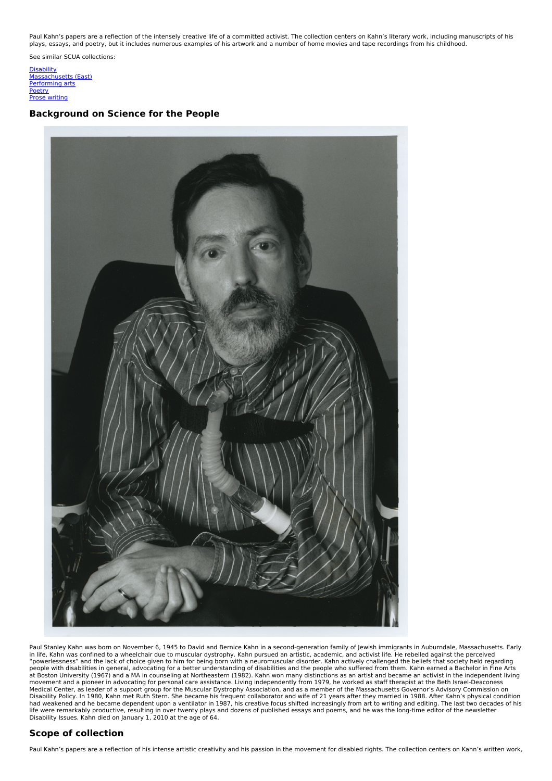Paul Kahn's papers are a reflection of the intensely creative life of a committed activist. The collection centers on Kahn's literary work, including manuscripts of his plays, essays, and poetry, but it includes numerous examples of his artwork and a number of home movies and tape recordings from his childhood.

See similar SCUA collections:

**[Disability](http://scua.library.umass.edu/umarmot/category/social-change/disability)** [Massachusetts](http://scua.library.umass.edu/umarmot/category/new-england/Massachusetts-east) (East) [Performing](http://scua.library.umass.edu/umarmot/category/literature-arts/performing-arts) arts **[Poetry](http://scua.library.umass.edu/umarmot/category/literature-arts/poetry)** Prose [writing](http://scua.library.umass.edu/umarmot/category/literature-arts/prose-writing)

## **Background on Science for the People**



Paul Stanley Kahn was born on November 6, 1945 to David and Bernice Kahn in a second-generation family of Jewish immigrants in Auburndale, Massachusetts. Early in life, Kahn was confined to a wheelchair due to muscular dystrophy. Kahn pursued an artistic, academic, and activist life. He rebelled against the perceived<br>"powerlessness" and the lack of choice given to him for being b people with disabilities in general, advocating for a better understanding of disabilities and the people who suffered from them. Kahn earned a Bachelor in Fine Arts<br>at Boston University (1967) and a MA in counseling at No Medical Center, as leader of a support group for the Muscular Dystrophy Association, and as a member of the Massachusetts Governor's Advisory Commission on Disability Policy. In 1980, Kahn met Ruth Stern. She became his frequent collaborator and wife of 21 years after they married in 1988. After Kahn's physical condition<br>had weakened and he became dependent upon a ventilator Disability Issues. Kahn died on January 1, 2010 at the age of 64.

## <span id="page-1-0"></span>**Scope of collection**

Paul Kahn's papers are a reflection of his intense artistic creativity and his passion in the movement for disabled rights. The collection centers on Kahn's written work,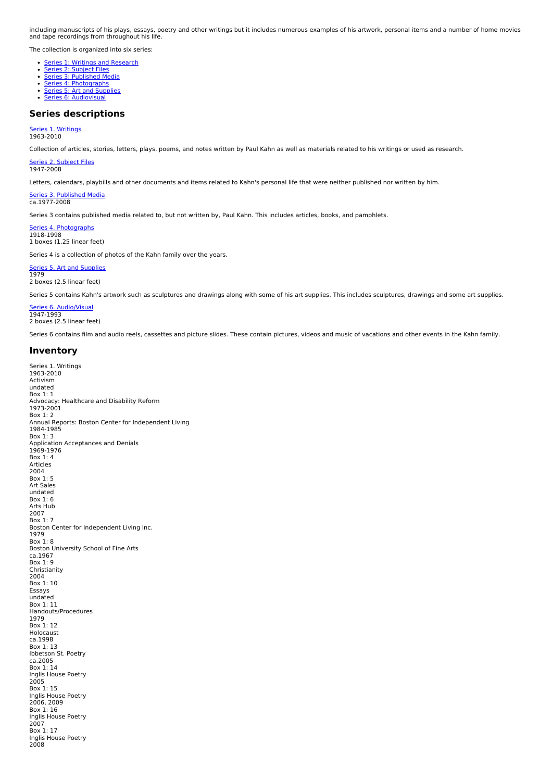including manuscripts of his plays, essays, poetry and other writings but it includes numerous examples of his artwork, personal items and a number of home movies and tape recordings from throughout his life.

The collection is organized into six series:

- **Series 1: Writings and [Research](#page-2-1)**
- <u>Series 2: [Subject](#page-2-2) Files</u><br>Series 3: [Published](#page-2-3) Media
- 
- Series 4: [Photographs](#page-2-3) Series 5: Art and [Supplies](#page-2-3)
- **Series 6: [Audiovisual](#page-2-3)**

#### <span id="page-2-0"></span>**Series descriptions**

## <span id="page-2-1"></span><u>Series 1. [Writings](#page-2-1)</u><br>1963-2010

Collection of articles, stories, letters, plays, poems, and notes written by Paul Kahn as well as materials related to his writings or used as research.

<span id="page-2-2"></span>Series 2. [Subject](#page-2-2) Files 1947-2008

Letters, calendars, playbills and other documents and items related to Kahn's personal life that were neither published nor written by him.

<span id="page-2-3"></span>Series 3. [Published](#page-2-3) Media ca.1977-2008

Series 3 contains published media related to, but not written by, Paul Kahn. This includes articles, books, and pamphlets.

<span id="page-2-4"></span>Series 4. [Photographs](#page-2-4) 1918-1998 1 boxes (1.25 linear feet)

Series 4 is a collection of photos of the Kahn family over the years.

#### <span id="page-2-5"></span>Series 5. Art and [Supplies](#page-2-5) 1979

2 boxes (2.5 linear feet)

Series 5 contains Kahn's artwork such as sculptures and drawings along with some of his art supplies. This includes sculptures, drawings and some art supplies.

<span id="page-2-6"></span>Series 6. [Audio/Visual](#page-2-6) 1947-1993 2 boxes (2.5 linear feet)

Series 6 contains film and audio reels, cassettes and picture slides. These contain pictures, videos and music of vacations and other events in the Kahn family.

### <span id="page-2-7"></span>**Inventory**

```
Series 1. Writings<br>1963-2010
Activism
undated
Box 1: 1
Advocacy: Healthcare and Disability Reform
1973-2001
Box 1: 2Annual Reports: Boston Center for Independent Living
1984-1985
Box 1: 3
Application Acceptances and Denials 1969-1976
Box 1: 4
Articles 2004
Box 1: 5
Art Sales
undated
Box 1: 6
Arts Hub
2007
Box 1: 7
Boston Center for Independent Living Inc. 1979
Box 1: 8
Boston University School of Fine Arts
ca.1967
Box 1: 9
Christianity
2004
Box 1: 10
Essays
undated
Box 1: 11
Handouts/Procedures 1979
Box 1: 12
Holocaust
ca.1998
Box 1: 13
Ibbetson St. Poetry
ca.2005
Box 1: 14
Inglis House Poetry
2005
Box 1: 15
Inglis House Poetry
2006, 2009
Box 1: 16
Inglis House Poetry
2007
Box 1: 17
Inglis House Poetry
2008
```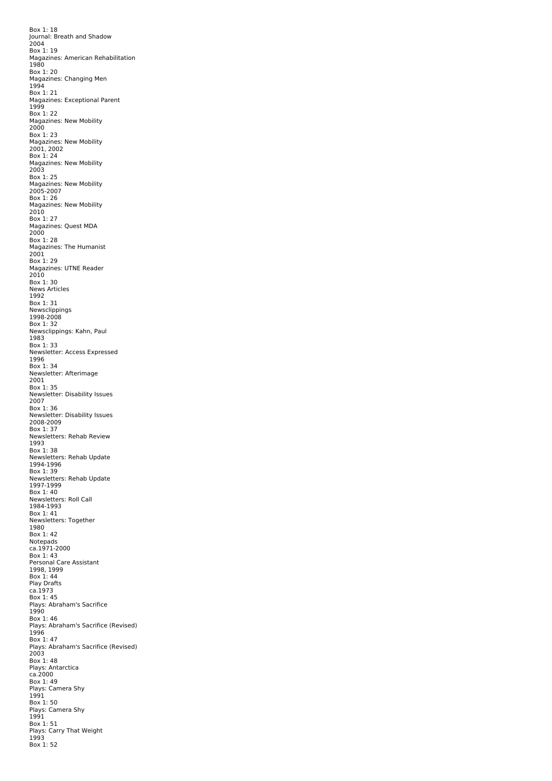Box 1: 18 Journal: Breath and Shadow 2004 Box 1: 19 Magazines: American Rehabilitation 1980 Box 1: 20 Magazines: Changing Men<br>1994 1994 Box 1: 21 Magazines: Exceptional Parent 1999 Box 1: 22 Magazines: New Mobility 2000 Box 1: 23 Magazines: New Mobility 2001, 2002 Box 1: 24 Magazines: New Mobility 2003 Box 1: 25 Magazines: New Mobility 2005-2007 Box 1: 26 Magazines: New Mobility 2010 Box 1: 27 Magazines: Quest MDA 2000 Box 1: 28 Magazines: The Humanist 2001 Box 1: 29 Magazines: UTNE Reader 2010 Box 1: 30 News Articles 1992 Box 1: 31 Newsclippings 1998-2008 Box 1: 32 Newsclippings: Kahn, Paul 1983 Box 1: 33 Newsletter: Access Expressed 1996 Box 1: 34 Newsletter: Afterimage 2001 Box 1: 35 Newsletter: Disability Issues 2007 Box 1: 36 Newsletter: Disability Issues 2008-2009 Box 1: 37 Newsletters: Rehab Review 1993 Box 1: 38 Newsletters: Rehab Update 1994-1996 Box 1: 39 Newsletters: Rehab Update 1997-1999 Box 1: 40 Newsletters: Roll Call 1984-1993 Box 1: 41 Newsletters: Together 1980 Box 1: 42 Notepads ca.1971-2000 Box 1: 43 Personal Care Assistant 1998, 1999  $Box 1: 44$ Play Drafts ca.1973 Box 1: 45 Plays: Abraham's Sacrifice 1990 Box 1: 46 Plays: Abraham's Sacrifice (Revised) 1996<br>Box 1: 47 Box 1: 47 Plays: Abraham's Sacrifice (Revised) 2003 Box 1: 48 Plays: Antarctica ca.2000 Box 1: 49 Plays: Camera Shy 1991 Box 1: 50 Plays: Camera Shy 1991 Box 1: 51 Plays: Carry That Weight 1993 Box 1: 52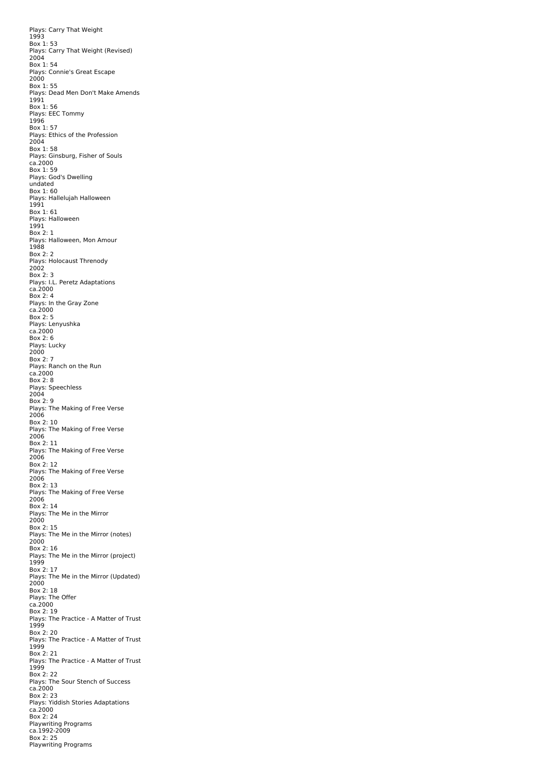Plays: Carry That Weight 1993 Box 1: 53 Plays: Carry That Weight (Revised)  $2004$ Box 1: 54 Plays: Connie's Great Escape 2000 Box 1: 55 Plays: Dead Men Don't Make Amends 1991 Box 1: 56 Plays: EEC Tommy 1996 Box 1: 57 Plays: Ethics of the Profession 2004 Box 1: 58 Plays: Ginsburg, Fisher of Souls ca.2000 Box 1: 59 Plays: God's Dwelling undated Box 1: 60 Plays: Hallelujah Halloween 1991 Box 1: 61 Plays: Halloween 1991 Box 2: 1 Plays: Halloween, Mon Amour 1988 Box 2: 2 Plays: Holocaust Threnody  $2002$ Box 2: 3 Plays: I.L. Peretz Adaptations ca.2000 Box 2: 4 Plays: In the Gray Zone ca.2000 Box 2: 5 Plays: Lenyushka ca.2000 Box 2: 6 Plays: Lucky 2000 Box 2: 7 Plays: Ranch on the Run ca.2000 Box 2: 8 Plays: Speechless<br>2004 Box 2: 9 Plays: The Making of Free Verse 2006 Box 2: 10 Plays: The Making of Free Verse 2006 Box 2: 11 Plays: The Making of Free Verse 2006 Box 2: 12 Plays: The Making of Free Verse 2006 Box 2: 13 Plays: The Making of Free Verse 2006 Box 2: 14 Plays: The Me in the Mirror 2000 Box 2: 15 Plays: The Me in the Mirror (notes)  $2000$ Box 2: 16 Plays: The Me in the Mirror (project) 1999 Box 2: 17 Plays: The Me in the Mirror (Updated)  $2000$ Box 2: 18 Plays: The Offer ca.2000 Box 2: 19 Plays: The Practice - A Matter of Trust 1999 Box 2: 20 Plays: The Practice - A Matter of Trust 1999 Box 2: 21 Plays: The Practice - A Matter of Trust 1999 Box 2: 22 Plays: The Sour Stench of Success ca.2000 Box 2: 23 Plays: Yiddish Stories Adaptations ca.2000 Box 2: 24 Playwriting Programs ca.1992-2009 Box 2: 25 Playwriting Programs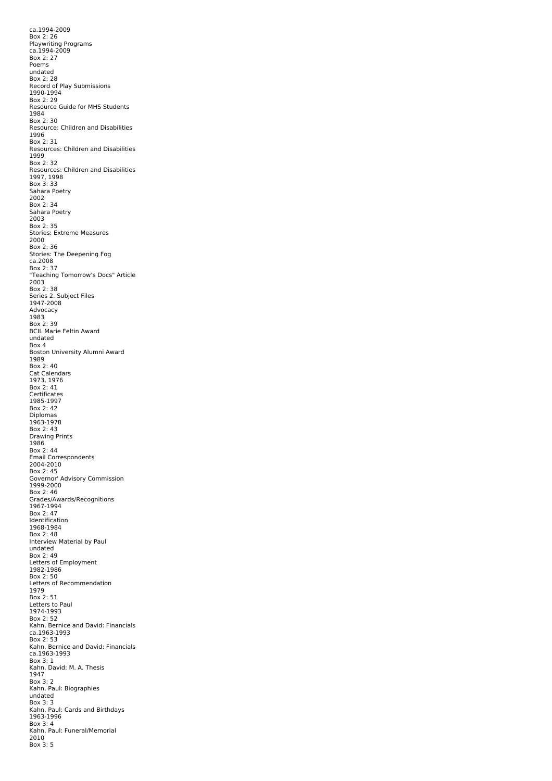ca.1994-2009 Box 2: 26 Playwriting Programs ca.1994-2009 Box 2: 27 Poems undated Box 2: 28 Record of Play Submissions 1990-1994 Box 2: 29 Resource Guide for MHS Students 1984 Box 2: 30 Resource: Children and Disabilities 1996 Box 2: 31 Resources: Children and Disabilities 1999 Box 2: 32 Resources: Children and Disabilities 1997, 1998 Box 3: 33 Sahara Poetry 2002 Box 2: 34 Sahara Poetry 2003 Box 2: 35 Stories: Extreme Measures 2000 Box 2: 36 Stories: The Deepening Fog ca.2008 Box 2: 37 "Teaching Tomorrow's Docs" Article<br>2003 Box 2: 38 Series 2. Subject Files<br>1947-2008 Advocacy 1983 Box 2: 39 BCIL Marie Feltin Award undated Box 4 Boston University Alumni Award 1989 Box 2: 40 Cat Calendars 1973, 1976 Box 2: 41 Certificates 1985-1997 Box 2: 42 Diplomas<br>1963-1978 Box 2: 43 Drawing Prints<br>1986 Box 2: 44 Email Correspondents<br>2004-2010 Box 2: 45 Governor' Advisory Commission 1999-2000 Box 2: 46 Grades/Awards/Recognitions 1967-1994 Box 2: 47 Identification 1968-1984 Box 2: 48 Interview Material by Paul undated Box 2: 49 Letters of Employment 1982-1986 Box 2: 50 Letters of Recommendation 1979 Box 2: 51 Letters to Paul 1974-1993 Box 2: 52 Kahn, Bernice and David: Financials ca.1963-1993 Box 2: 53 Kahn, Bernice and David: Financials ca.1963-1993 Box 3: 1 Kahn, David: M. A. Thesis 1947 Box 3: 2 Kahn, Paul: Biographies undated Box 3: 3 Kahn, Paul: Cards and Birthdays 1963-1996 Box 3: 4 Kahn, Paul: Funeral/Memorial 2010 Box 3: 5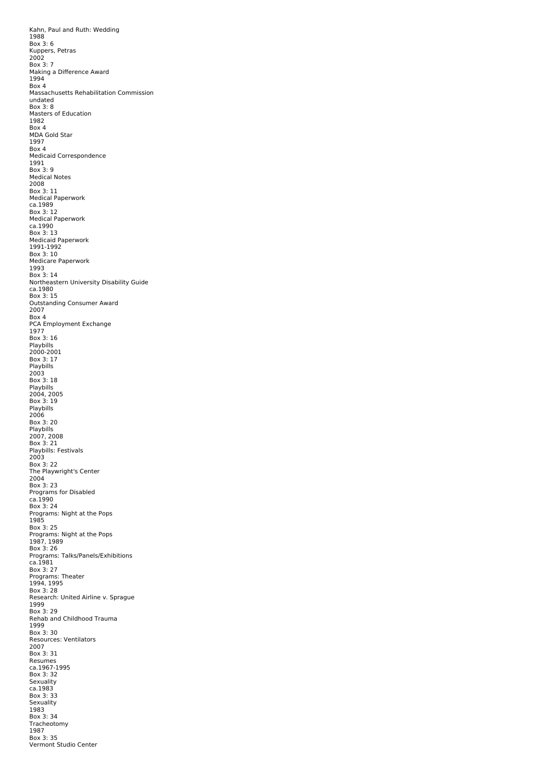Kahn, Paul and Ruth: Wedding 1988 Box 3: 6 Kuppers, Petras 2002 Box 3: 7 Making a Difference Award 1994 Box 4 Massachusetts Rehabilitation Commission undated Box 3: 8 Masters of Education 1982 Box 4 MDA Gold Star 1997  $Box<sub>4</sub>$ Medicaid Correspondence 1991 Box 3: 9 Medical Notes 2008 Box 3: 11 Medical Paperwork ca.1989 Box 3: 12 Medical Paperwork ca.1990 Box 3: 13 Medicaid Paperwork 1991-1992 Box 3: 10 Medicare Paperwork 1993 Box 3: 14 Northeastern University Disability Guide ca.1980 Box 3: 15 Outstanding Consumer Award 2007 Box 4 PCA Employment Exchange 1977 Box 3: 16 Playbills<br>2000-2001 Box 3: 17 Playbills<br>2003<br>Box 3: 18 Playbills<br>2004, 2005<br>Box 3: 19 Playbills<br>2006<br>Box 3: 20 Playbills 2007, 2008 Box 3: 21 Playbills: Festivals 2003 Box 3: 22 The Playwright's Center 2004 Box 3: 23 Programs for Disabled ca.1990 Box 3: 24 Programs: Night at the Pops 1985 Box 3: 25 Programs: Night at the Pops 1987, 1989 Box 3: 26 Programs: Talks/Panels/Exhibitions ca.1981 Box 3: 27 Programs: Theater<br>1994, 1995 Box 3: 28 Research: United Airline v. Sprague 1999 Box 3: 29 Rehab and Childhood Trauma 1999 Box 3: 30 Resources: Ventilators<br>2007 Box 3: 31 Resumes ca.1967-1995 Box 3: 32 Sexuality ca.1983 Box 3: 33 Sexuality 1983 Box 3: 34 Tracheotomy 1987 Box 3: 35 Vermont Studio Center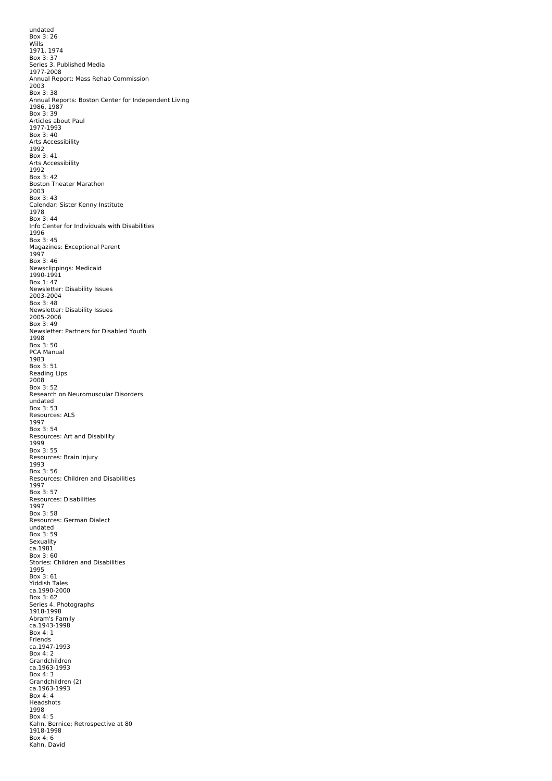undated Box 3: 26 Wills 1971, 1974 Box 3: 37 Series 3. Published Media 1977-2008 Annual Report: Mass Rehab Commission 2003 Box 3: 38 Annual Reports: Boston Center for Independent Living 1986, 1987 Box 3: 39 Articles about Paul 1977-1993 Box 3: 40 Arts Accessibility 1992 Box 3: 41 Arts Accessibility 1992 Box 3: 42 Boston Theater Marathon<br>2003 Box 3: 43 Calendar: Sister Kenny Institute<br>1978 Box 3: 44 Info Center for Individuals with Disabilities 1996 Box 3: 45 Magazines: Exceptional Parent 1997 Box 3: 46 Newsclippings: Medicaid 1990-1991 Box 1: 47 Newsletter: Disability Issues 2003-2004 Box 3: 48 Newsletter: Disability Issues 2005-2006 Box 3: 49 Newsletter: Partners for Disabled Youth 1998 Box 3: 50 PCA Manual 1983 Box 3: 51 Reading Lips 2008 Box 3: 52 Research on Neuromuscular Disorders undated Box 3: 53 Resources: ALS 1997 Box 3: 54 Resources: Art and Disability 1999 Box 3: 55 Resources: Brain Injury 1993 Box 3: 56 **Resources: Children and Disabilities** 1997 Box 3: 57 Resources: Disabilities 1997 Box 3: 58 Resources: German Dialect undated Box 3: 59 Sexuality ca.1981 Box 3: 60 Stories: Children and Disabilities 1995 Box 3: 61 Yiddish Tales ca.1990-2000 Box 3: 62 Series 4. Photographs 1918-1998 Abram's Family ca.1943-1998 Box 4: 1 Friends ca.1947-1993 Box 4: 2 Grandchildren ca.1963-1993 Box 4: 3 Grandchildren (2) ca.1963-1993 Box 4: 4 Headshots 1998 Box 4: 5 Kahn, Bernice: Retrospective at 80 1918-1998 Box 4: 6 Kahn, David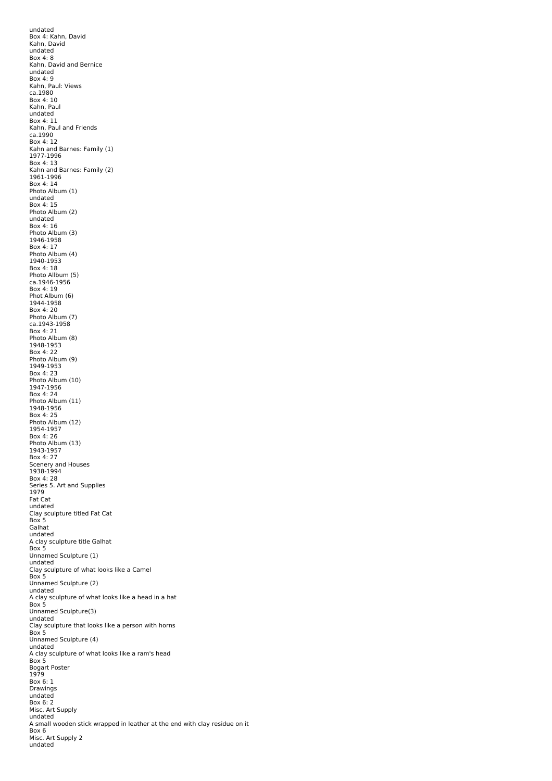undated Box 4: Kahn, David Kahn, David undated Box 4: 8 Kahn, David and Bernice undated Box 4: 9 Kahn, Paul: Views ca.1980 Box 4: 10 Kahn, Paul undated Box 4: 11 Kahn, Paul and Friends ca.1990 Box 4: 12 Kahn and Barnes: Family (1) 1977-1996 Box 4: 13 Kahn and Barnes: Family (2) 1961-1996 Box 4: 14 Photo Album (1) undated Box 4: 15 Photo Album (2) undated Box 4: 16 Photo Album (3) 1946-1958 Box 4: 17 Photo Album (4) 1940-1953 Box 4: 18 Photo Allbum (5) ca.1946-1956 Box 4: 19 Phot Album (6) 1944-1958 Box 4: 20 Photo Album (7) ca.1943-1958 Box 4: 21 Photo Album (8) 1948-1953 Box 4: 22 Photo Album (9) 1949-1953 Box 4: 23 Photo Album (10) 1947-1956 Box 4: 24 Photo Album (11) 1948-1956 Box 4: 25 Photo Album (12) 1954-1957 Box 4: 26 Photo Album (13) 1943-1957 Box 4: 27 Scenery and Houses<br>1938-1994 Box 4: 28 Series 5. Art and Supplies 1979 Fat Cat undated Clay sculpture titled Fat Cat Box 5 Galhat undated A clay sculpture title Galhat Box 5 Unnamed Sculpture (1) undated Clay sculpture of what looks like a Camel Box 5 Unnamed Sculpture (2) undated A clay sculpture of what looks like a head in a hat Box 5 Unnamed Sculpture(3) undated<br>Clay sculpture that looks like a person with horns<br>Box 5 Unnamed Sculpture (4) undated A clay sculpture of what looks like a ram's head Box 5 Bogart Poster 1979 Box 6: 1 Drawings undated Box 6: 2 Misc. Art Supply undated A small wooden stick wrapped in leather at the end with clay residue on it Box 6 Misc. Art Supply 2 undated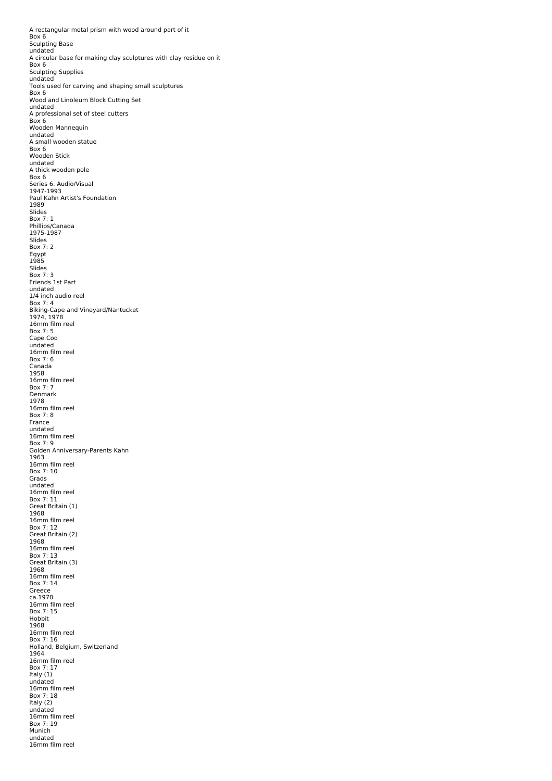A rectangular metal prism with wood around part of it Box 6 Sculpting Base undated A circular base for making clay sculptures with clay residue on it Box 6 Sculpting Supplies undated Tools used for carving and shaping small sculptures Box 6 Wood and Linoleum Block Cutting Set undated A professional set of steel cutters<br>Box 6 Wooden Mannequin undated A small wooden statue Box 6 Wooden Stick undated A thick wooden pole Box 6 Series 6. Audio/Visual 1947-1993 Paul Kahn Artist's Foundation 1989 Slides Box 7: 1 Phillips/Canada<br>1975-1987 Slides Box 7: 2 Egypt 1985 Slides Box 7: 3 Friends 1st Part undated 1/4 inch audio reel Box 7: 4 Biking-Cape and Vineyard/Nantucket 1974, 1978 16mm film reel Box 7: 5 Cape Cod undated 16mm film reel Box 7: 6 Canada<br>1958 16mm film reel Box 7: 7 Denmark 1978 16mm film reel Box 7: 8 France undated 16mm film reel Box 7: 9 Golden Anniversary-Parents Kahn 1963 16mm film reel Box 7: 10 Grads undated 16mm film reel Box 7: 11 Great Britain (1) 1968 16mm film reel Box 7: 12 Great Britain (2) 1968 16mm film reel Box 7: 13 Great Britain (3) 1968 16mm film reel Box 7: 14 Greece ca.1970 16mm film reel Box 7: 15 Hobbit 1968 16mm film reel Box 7: 16 Holland, Belgium, Switzerland 1964 16mm film reel Box 7: 17 Italy (1) undated 16mm film reel Box 7: 18 Italy (2) undated 16mm film reel Box 7: 19 Munich undated 16mm film reel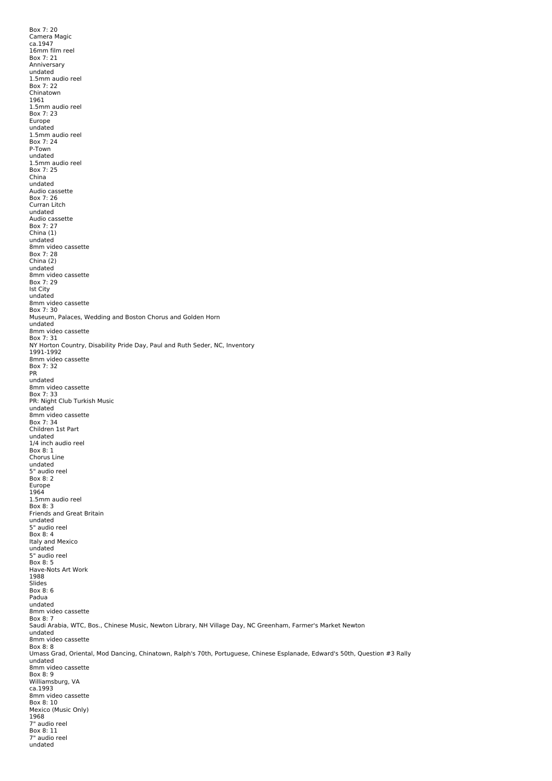Box 7: 20 Camera Magic ca.1947 16mm film reel Box 7: 21 Anniversary undated 1.5mm audio reel Box 7: 22 Chinatown 1961 1.5mm audio reel Box 7: 23 Europe undated 1.5mm audio reel Box 7: 24 P-Town undated 1.5mm audio reel Box 7: 25 China undated Audio cassette<br>Box 7: 26 Curran Litch undated Audio cassette Box 7: 27 China (1) undated 8mm video cassette Box 7: 28 China (2) undated 8mm video cassette<br>Box 7: 29 Ist City undated 8mm video cassette<br>Box 7: 30 Museum, Palaces, Wedding and Boston Chorus and Golden Horn undated 8mm video cassette Box 7: 31 NY Horton Country, Disability Pride Day, Paul and Ruth Seder, NC, Inventory 1991-1992 8mm video cassette Box 7: 32 PR undated 8mm video cassette<br>Box 7: 33 PR: Night Club Turkish Music undated 8mm video cassette Box 7: 34 Children 1st Part undated 1/4 inch audio reel Box 8: 1 Chorus Line undated 5" audio reel Box 8: 2 Europe 1964 1.5mm audio reel Box 8: 3 Friends and Great Britain undated 5" audio reel Box 8: 4 Italy and Mexico undated 5" audio reel Box 8: 5 Have-Nots Art Work 1988 Slides Box 8: 6 Padua undated 8mm video cassette Box 8: 7 Saudi Arabia, WTC, Bos., Chinese Music, Newton Library, NH Village Day, NC Greenham, Farmer's Market Newton undated 8mm video cassette<br>Box 8: 8 Umass Grad, Oriental, Mod Dancing, Chinatown, Ralph's 70th, Portuguese, Chinese Esplanade, Edward's 50th, Question #3 Rally undated 8mm video cassette Box 8: 9 Williamsburg, VA ca.1993 8mm video cassette Box 8: 10 Mexico (Music Only) 1968 7" audio reel Box 8: 11 7" audio reel undated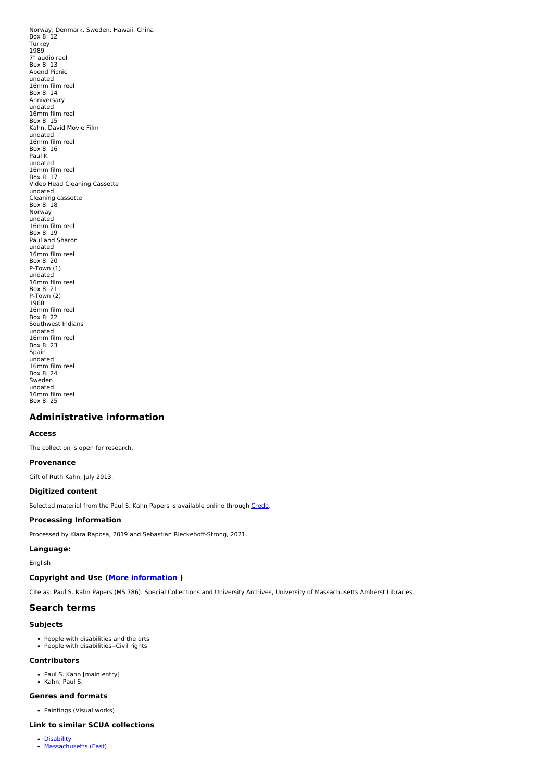Norway, Denmark, Sweden, Hawaii, China<br>Box 8: 12 Turkey 1989 7" audio reel Box 8: 13 Abend Picnic undated 16mm film reel Box 8: 14 Anniversary undated 16mm film reel Box 8: 15 Kahn, David Movie Film undated 16mm film reel Box 8: 16 Paul K undated 16mm film reel Box 8: 17 Video Head Cleaning Cassette undated Cleaning cassette<br>Box 8: 18 Norway undated 16mm film reel Box 8: 19 Paul and Sharon undated 16mm film reel Box 8: 20 P-Town (1) undated 16mm film reel Box 8: 21 P-Town (2) 1968 16mm film reel Box 8: 22 Southwest Indians undated 16mm film reel Box 8: 23 Spain undated 16mm film reel Box 8: 24 Sweden undated 16mm film reel Box 8: 25

## <span id="page-11-0"></span>**Administrative information**

#### **Access**

The collection is open for research.

#### **Provenance**

Gift of Ruth Kahn, July 2013.

#### **Digitized content**

Selected material from the Paul S. Kahn Papers is available online through [Credo](http://credo.library.umass.edu/view/collection/mums786).

#### **Processing Information**

Processed by Kiara Raposa, 2019 and Sebastian Rieckehoff-Strong, 2021.

### **Language:**

English

#### **Copyright and Use (More [information](http://scua.library.umass.edu/umarmot/?page_id=690) )**

Cite as: Paul S. Kahn Papers (MS 786). Special Collections and University Archives, University of Massachusetts Amherst Libraries.

#### **Search terms**

#### **Subjects**

People with disabilities and the arts People with disabilities--Civil rights

## **Contributors**

- Paul S. Kahn [main entry]
- Kahn, Paul S.

#### **Genres and formats**

Paintings (Visual works)

## **Link to similar SCUA collections**

[Disability](http://scua.library.umass.edu/umarmot/category/social-change/disability) [Massachusetts](http://scua.library.umass.edu/umarmot/category/new-england/Massachusetts-east) (East)